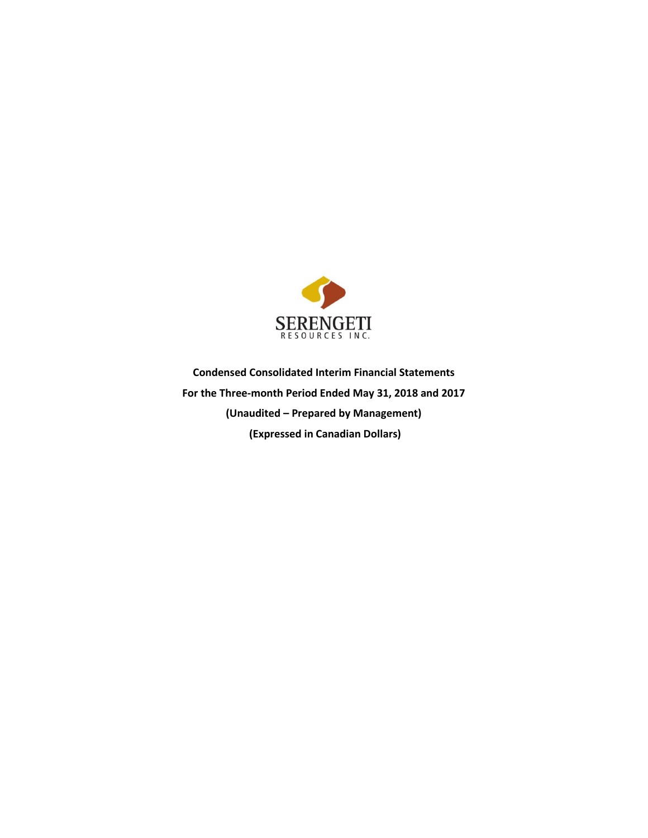

**Condensed Consolidated Interim Financial Statements For the Three-month Period Ended May 31, 2018 and 2017 (Unaudited – Prepared by Management) (Expressed in Canadian Dollars)**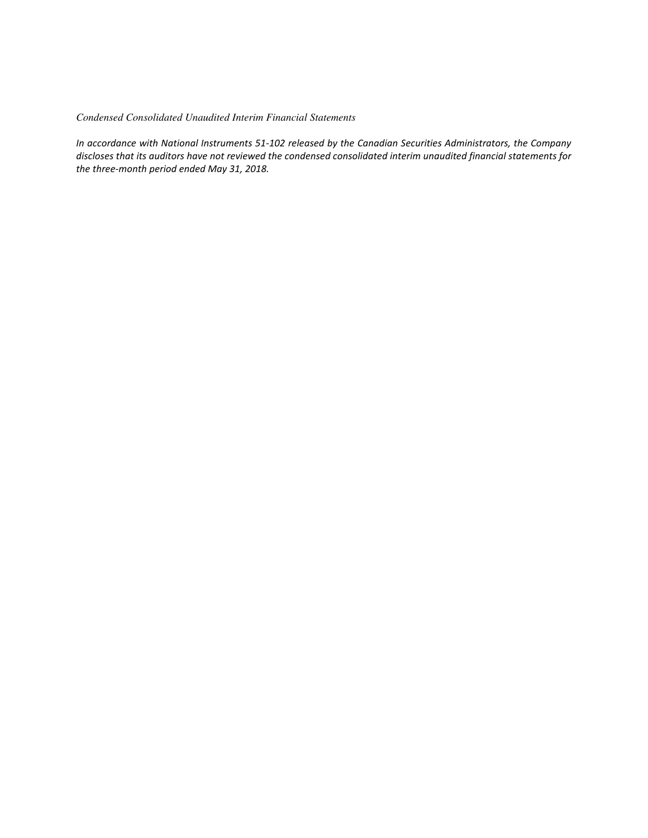*Condensed Consolidated Unaudited Interim Financial Statements* 

*In accordance with National Instruments 51-102 released by the Canadian Securities Administrators, the Company discloses that its auditors have not reviewed the condensed consolidated interim unaudited financial statements for the three-month period ended May 31, 2018.*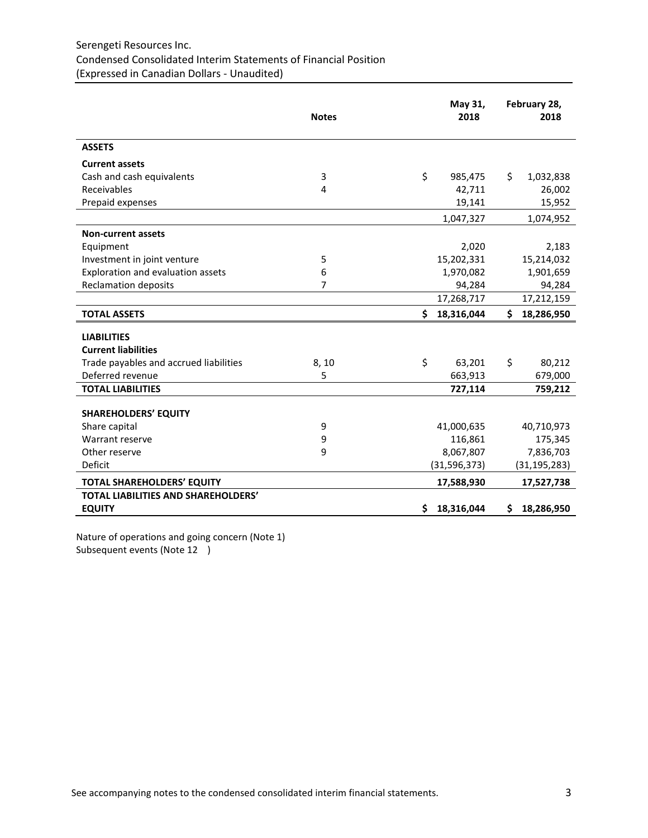# Serengeti Resources Inc. Condensed Consolidated Interim Statements of Financial Position (Expressed in Canadian Dollars - Unaudited)

|                                        | <b>Notes</b> |     | May 31,<br>2018 |     | February 28,<br>2018 |
|----------------------------------------|--------------|-----|-----------------|-----|----------------------|
| <b>ASSETS</b>                          |              |     |                 |     |                      |
| <b>Current assets</b>                  |              |     |                 |     |                      |
| Cash and cash equivalents              | 3            | \$  | 985,475         | \$  | 1,032,838            |
| Receivables                            | 4            |     | 42,711          |     | 26,002               |
| Prepaid expenses                       |              |     | 19,141          |     | 15,952               |
|                                        |              |     | 1,047,327       |     | 1,074,952            |
| <b>Non-current assets</b>              |              |     |                 |     |                      |
| Equipment                              |              |     | 2,020           |     | 2,183                |
| Investment in joint venture            | 5            |     | 15,202,331      |     | 15,214,032           |
| Exploration and evaluation assets      | 6            |     | 1,970,082       |     | 1,901,659            |
| <b>Reclamation deposits</b>            | 7            |     | 94,284          |     | 94,284               |
|                                        |              |     | 17,268,717      |     | 17,212,159           |
| <b>TOTAL ASSETS</b>                    |              | \$  | 18,316,044      | \$  | 18,286,950           |
| <b>LIABILITIES</b>                     |              |     |                 |     |                      |
| <b>Current liabilities</b>             |              |     |                 |     |                      |
| Trade payables and accrued liabilities | 8,10         | \$  | 63,201          | \$  | 80,212               |
| Deferred revenue                       | 5            |     | 663,913         |     | 679,000              |
| <b>TOTAL LIABILITIES</b>               |              |     | 727,114         |     | 759,212              |
| <b>SHAREHOLDERS' EQUITY</b>            |              |     |                 |     |                      |
| Share capital                          | 9            |     | 41,000,635      |     | 40,710,973           |
| Warrant reserve                        | 9            |     | 116,861         |     | 175,345              |
| Other reserve                          | 9            |     | 8,067,807       |     | 7,836,703            |
| Deficit                                |              |     | (31, 596, 373)  |     | (31, 195, 283)       |
|                                        |              |     |                 |     |                      |
| TOTAL SHAREHOLDERS' EQUITY             |              |     | 17,588,930      |     | 17,527,738           |
| TOTAL LIABILITIES AND SHAREHOLDERS'    |              |     |                 |     |                      |
| <b>EQUITY</b>                          |              | \$. | 18,316,044      | \$. | 18,286,950           |

Nature of operations and going concern (Note 1) Subsequent events (Note 12 )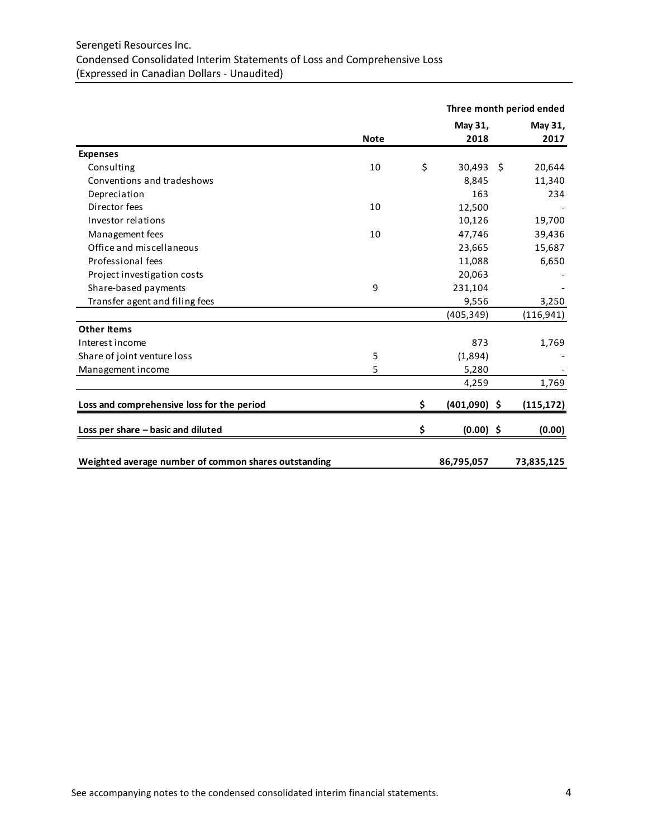# Serengeti Resources Inc. Condensed Consolidated Interim Statements of Loss and Comprehensive Loss (Expressed in Canadian Dollars - Unaudited)

|                                                      |             |                      |    | Three month period ended |
|------------------------------------------------------|-------------|----------------------|----|--------------------------|
|                                                      |             | May 31,              |    | May 31,                  |
|                                                      | <b>Note</b> | 2018                 |    | 2017                     |
| <b>Expenses</b>                                      |             |                      |    |                          |
| Consulting                                           | 10          | \$<br>30,493         | -Ś | 20,644                   |
| Conventions and tradeshows                           |             | 8,845                |    | 11,340                   |
| Depreciation                                         |             | 163                  |    | 234                      |
| Director fees                                        | 10          | 12,500               |    |                          |
| Investor relations                                   |             | 10,126               |    | 19,700                   |
| Management fees                                      | 10          | 47,746               |    | 39,436                   |
| Office and miscellaneous                             |             | 23,665               |    | 15,687                   |
| Professional fees                                    |             | 11,088               |    | 6,650                    |
| Project investigation costs                          |             | 20,063               |    |                          |
| Share-based payments                                 | 9           | 231,104              |    |                          |
| Transfer agent and filing fees                       |             | 9,556                |    | 3,250                    |
|                                                      |             | (405, 349)           |    | (116, 941)               |
| <b>Other Items</b>                                   |             |                      |    |                          |
| Interest income                                      |             | 873                  |    | 1,769                    |
| Share of joint venture loss                          | 5           | (1,894)              |    |                          |
| Management income                                    | 5           | 5,280                |    |                          |
|                                                      |             | 4,259                |    | 1,769                    |
| Loss and comprehensive loss for the period           |             | \$<br>$(401,090)$ \$ |    | (115, 172)               |
| Loss per share - basic and diluted                   |             | \$<br>$(0.00)$ \$    |    | (0.00)                   |
|                                                      |             |                      |    |                          |
| Weighted average number of common shares outstanding |             | 86,795,057           |    | 73,835,125               |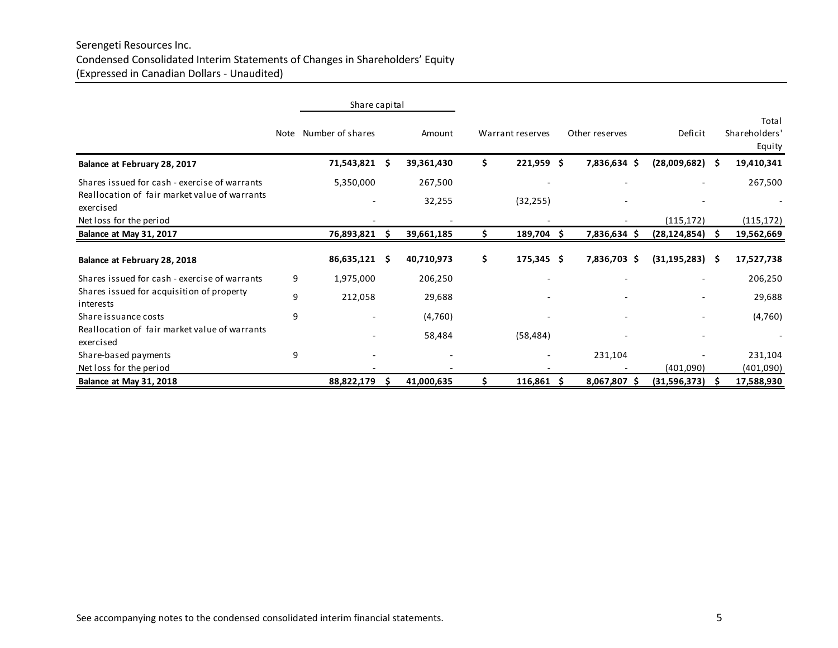# Serengeti Resources Inc. Condensed Consolidated Interim Statements of Changes in Shareholders' Equity (Expressed in Canadian Dollars - Unaudited)

|                                                            |   | Share capital         |    |            |    |                  |                |                |    |                                  |
|------------------------------------------------------------|---|-----------------------|----|------------|----|------------------|----------------|----------------|----|----------------------------------|
|                                                            |   | Note Number of shares |    | Amount     |    | Warrant reserves | Other reserves | Deficit        |    | Total<br>Shareholders'<br>Equity |
| Balance at February 28, 2017                               |   | 71,543,821 \$         |    | 39,361,430 | \$ | $221,959$ \$     | 7,836,634 \$   | (28,009,682)   | Ŝ  | 19,410,341                       |
| Shares issued for cash - exercise of warrants              |   | 5,350,000             |    | 267,500    |    |                  |                |                |    | 267,500                          |
| Reallocation of fair market value of warrants<br>exercised |   |                       |    | 32,255     |    | (32, 255)        |                |                |    |                                  |
| Net loss for the period                                    |   |                       |    |            |    |                  |                | (115, 172)     |    | (115, 172)                       |
| Balance at May 31, 2017                                    |   | 76,893,821            |    | 39,661,185 | Ś. | 189,704<br>S     | 7,836,634 \$   | (28, 124, 854) | Ŝ  | 19,562,669                       |
| Balance at February 28, 2018                               |   | 86,635,121            | -S | 40,710,973 | \$ | $175,345$ \$     | 7,836,703 \$   | (31, 195, 283) | -S | 17,527,738                       |
| Shares issued for cash - exercise of warrants              | 9 | 1,975,000             |    | 206,250    |    |                  |                |                |    | 206,250                          |
| Shares issued for acquisition of property<br>interests     | 9 | 212,058               |    | 29,688     |    |                  |                |                |    | 29,688                           |
| Share issuance costs                                       | 9 |                       |    | (4,760)    |    |                  |                |                |    | (4,760)                          |
| Reallocation of fair market value of warrants<br>exercised |   |                       |    | 58,484     |    | (58, 484)        |                |                |    |                                  |
| Share-based payments                                       | 9 |                       |    |            |    |                  | 231,104        |                |    | 231,104                          |
| Net loss for the period                                    |   |                       |    |            |    |                  |                | (401,090)      |    | (401,090)                        |
| Balance at May 31, 2018                                    |   | 88,822,179            |    | 41,000,635 |    | 116,861<br>-S    | 8,067,807 \$   | (31,596,373)   | -S | 17,588,930                       |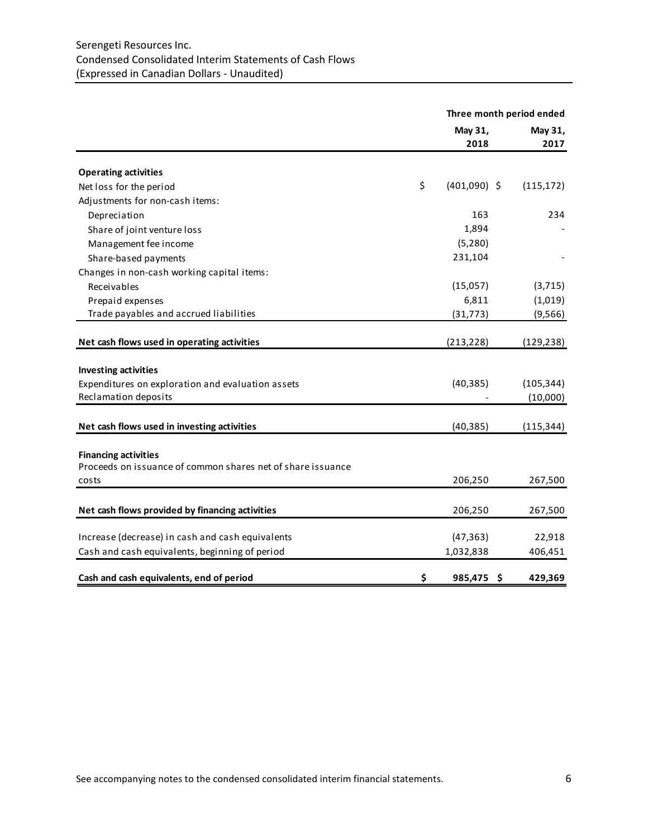# Serengeti Resources Inc. Condensed Consolidated Interim Statements of Cash Flows (Expressed in Canadian Dollars - Unaudited)

|                                                             | Three month period ended |                 |  |  |
|-------------------------------------------------------------|--------------------------|-----------------|--|--|
|                                                             | May 31,<br>2018          | May 31,<br>2017 |  |  |
| <b>Operating activities</b>                                 |                          |                 |  |  |
| Net loss for the period                                     | \$<br>$(401,090)$ \$     | (115, 172)      |  |  |
| Adjustments for non-cash items:                             |                          |                 |  |  |
| Depreciation                                                | 163                      | 234             |  |  |
| Share of joint venture loss                                 | 1,894                    |                 |  |  |
| Management fee income                                       | (5, 280)                 |                 |  |  |
| Share-based payments                                        | 231,104                  |                 |  |  |
| Changes in non-cash working capital items:                  |                          |                 |  |  |
| Receivables                                                 | (15,057)                 | (3, 715)        |  |  |
| Prepaid expenses                                            | 6,811                    | (1,019)         |  |  |
| Trade payables and accrued liabilities                      | (31, 773)                | (9, 566)        |  |  |
| Net cash flows used in operating activities                 | (213, 228)               | (129, 238)      |  |  |
| <b>Investing activities</b>                                 |                          |                 |  |  |
| Expenditures on exploration and evaluation assets           | (40, 385)                | (105, 344)      |  |  |
| Reclamation deposits                                        |                          | (10,000)        |  |  |
| Net cash flows used in investing activities                 | (40, 385)                | (115, 344)      |  |  |
|                                                             |                          |                 |  |  |
| <b>Financing activities</b>                                 |                          |                 |  |  |
| Proceeds on issuance of common shares net of share issuance |                          |                 |  |  |
| costs                                                       | 206,250                  | 267,500         |  |  |
| Net cash flows provided by financing activities             | 206,250                  | 267,500         |  |  |
|                                                             |                          |                 |  |  |
| Increase (decrease) in cash and cash equivalents            | (47, 363)                | 22,918          |  |  |
| Cash and cash equivalents, beginning of period              | 1,032,838                | 406,451         |  |  |
| Cash and cash equivalents, end of period                    | \$<br>Ś<br>985,475       | 429,369         |  |  |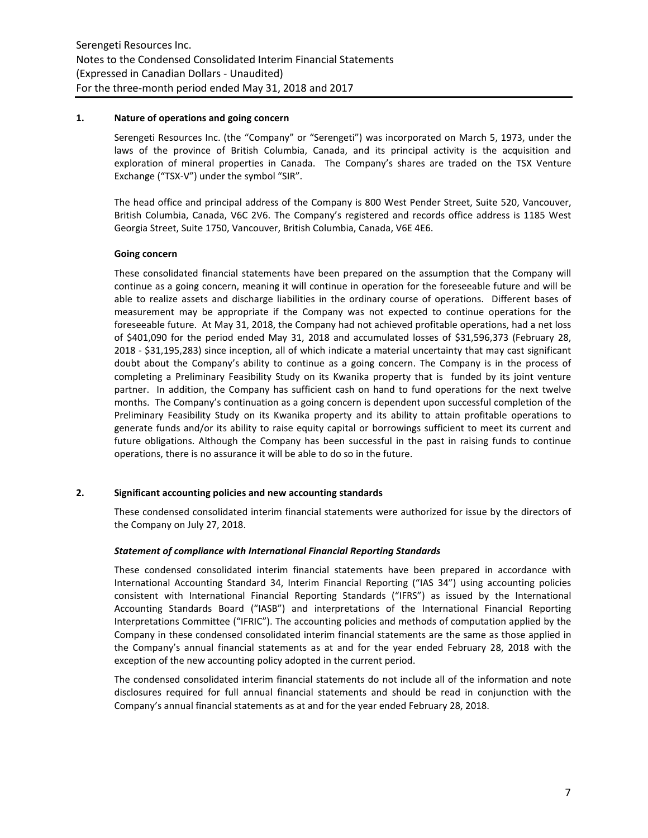### **1. Nature of operations and going concern**

Serengeti Resources Inc. (the "Company" or "Serengeti") was incorporated on March 5, 1973, under the laws of the province of British Columbia, Canada, and its principal activity is the acquisition and exploration of mineral properties in Canada. The Company's shares are traded on the TSX Venture Exchange ("TSX-V") under the symbol "SIR".

The head office and principal address of the Company is 800 West Pender Street, Suite 520, Vancouver, British Columbia, Canada, V6C 2V6. The Company's registered and records office address is 1185 West Georgia Street, Suite 1750, Vancouver, British Columbia, Canada, V6E 4E6.

# **Going concern**

These consolidated financial statements have been prepared on the assumption that the Company will continue as a going concern, meaning it will continue in operation for the foreseeable future and will be able to realize assets and discharge liabilities in the ordinary course of operations. Different bases of measurement may be appropriate if the Company was not expected to continue operations for the foreseeable future. At May 31, 2018, the Company had not achieved profitable operations, had a net loss of \$401,090 for the period ended May 31, 2018 and accumulated losses of \$31,596,373 (February 28, 2018 - \$31,195,283) since inception, all of which indicate a material uncertainty that may cast significant doubt about the Company's ability to continue as a going concern. The Company is in the process of completing a Preliminary Feasibility Study on its Kwanika property that is funded by its joint venture partner. In addition, the Company has sufficient cash on hand to fund operations for the next twelve months. The Company's continuation as a going concern is dependent upon successful completion of the Preliminary Feasibility Study on its Kwanika property and its ability to attain profitable operations to generate funds and/or its ability to raise equity capital or borrowings sufficient to meet its current and future obligations. Although the Company has been successful in the past in raising funds to continue operations, there is no assurance it will be able to do so in the future.

# **2. Significant accounting policies and new accounting standards**

These condensed consolidated interim financial statements were authorized for issue by the directors of the Company on July 27, 2018.

# *Statement of compliance with International Financial Reporting Standards*

These condensed consolidated interim financial statements have been prepared in accordance with International Accounting Standard 34, Interim Financial Reporting ("IAS 34") using accounting policies consistent with International Financial Reporting Standards ("IFRS") as issued by the International Accounting Standards Board ("IASB") and interpretations of the International Financial Reporting Interpretations Committee ("IFRIC"). The accounting policies and methods of computation applied by the Company in these condensed consolidated interim financial statements are the same as those applied in the Company's annual financial statements as at and for the year ended February 28, 2018 with the exception of the new accounting policy adopted in the current period.

The condensed consolidated interim financial statements do not include all of the information and note disclosures required for full annual financial statements and should be read in conjunction with the Company's annual financial statements as at and for the year ended February 28, 2018.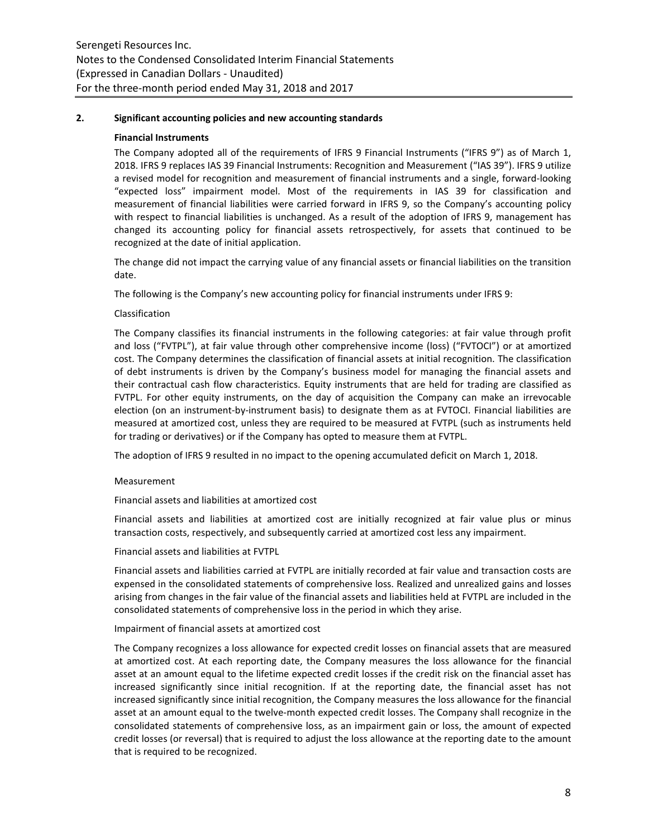### **2. Significant accounting policies and new accounting standards**

### **Financial Instruments**

The Company adopted all of the requirements of IFRS 9 Financial Instruments ("IFRS 9") as of March 1, 2018. IFRS 9 replaces IAS 39 Financial Instruments: Recognition and Measurement ("IAS 39"). IFRS 9 utilize a revised model for recognition and measurement of financial instruments and a single, forward-looking "expected loss" impairment model. Most of the requirements in IAS 39 for classification and measurement of financial liabilities were carried forward in IFRS 9, so the Company's accounting policy with respect to financial liabilities is unchanged. As a result of the adoption of IFRS 9, management has changed its accounting policy for financial assets retrospectively, for assets that continued to be recognized at the date of initial application.

The change did not impact the carrying value of any financial assets or financial liabilities on the transition date.

The following is the Company's new accounting policy for financial instruments under IFRS 9:

### Classification

The Company classifies its financial instruments in the following categories: at fair value through profit and loss ("FVTPL"), at fair value through other comprehensive income (loss) ("FVTOCI") or at amortized cost. The Company determines the classification of financial assets at initial recognition. The classification of debt instruments is driven by the Company's business model for managing the financial assets and their contractual cash flow characteristics. Equity instruments that are held for trading are classified as FVTPL. For other equity instruments, on the day of acquisition the Company can make an irrevocable election (on an instrument-by-instrument basis) to designate them as at FVTOCI. Financial liabilities are measured at amortized cost, unless they are required to be measured at FVTPL (such as instruments held for trading or derivatives) or if the Company has opted to measure them at FVTPL.

The adoption of IFRS 9 resulted in no impact to the opening accumulated deficit on March 1, 2018.

#### Measurement

Financial assets and liabilities at amortized cost

Financial assets and liabilities at amortized cost are initially recognized at fair value plus or minus transaction costs, respectively, and subsequently carried at amortized cost less any impairment.

Financial assets and liabilities at FVTPL

Financial assets and liabilities carried at FVTPL are initially recorded at fair value and transaction costs are expensed in the consolidated statements of comprehensive loss. Realized and unrealized gains and losses arising from changes in the fair value of the financial assets and liabilities held at FVTPL are included in the consolidated statements of comprehensive loss in the period in which they arise.

### Impairment of financial assets at amortized cost

The Company recognizes a loss allowance for expected credit losses on financial assets that are measured at amortized cost. At each reporting date, the Company measures the loss allowance for the financial asset at an amount equal to the lifetime expected credit losses if the credit risk on the financial asset has increased significantly since initial recognition. If at the reporting date, the financial asset has not increased significantly since initial recognition, the Company measures the loss allowance for the financial asset at an amount equal to the twelve-month expected credit losses. The Company shall recognize in the consolidated statements of comprehensive loss, as an impairment gain or loss, the amount of expected credit losses (or reversal) that is required to adjust the loss allowance at the reporting date to the amount that is required to be recognized.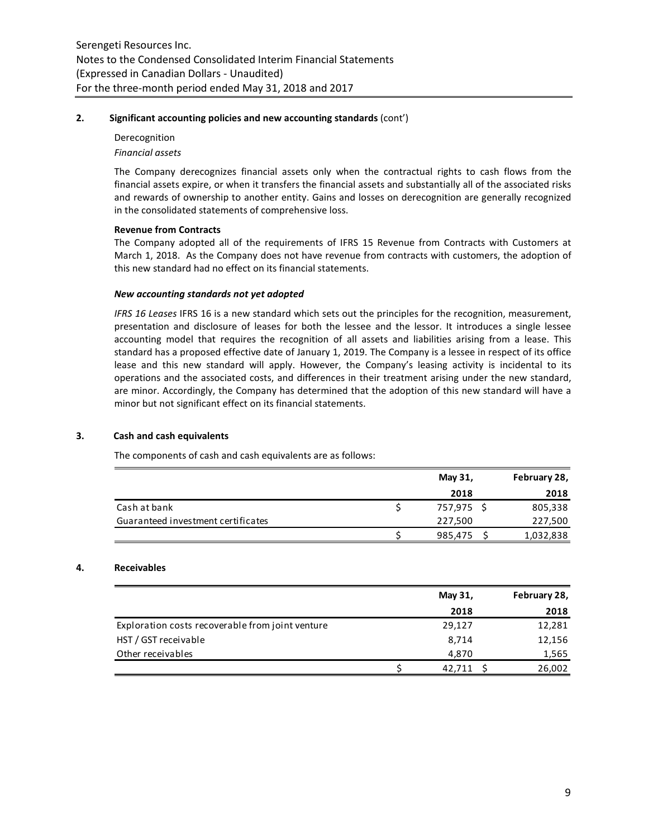### **2. Significant accounting policies and new accounting standards** (cont')

# Derecognition *Financial assets*

The Company derecognizes financial assets only when the contractual rights to cash flows from the financial assets expire, or when it transfers the financial assets and substantially all of the associated risks and rewards of ownership to another entity. Gains and losses on derecognition are generally recognized in the consolidated statements of comprehensive loss.

# **Revenue from Contracts**

The Company adopted all of the requirements of IFRS 15 Revenue from Contracts with Customers at March 1, 2018.As the Company does not have revenue from contracts with customers, the adoption of this new standard had no effect on its financial statements.

### *New accounting standards not yet adopted*

*IFRS 16 Leases* IFRS 16 is a new standard which sets out the principles for the recognition, measurement, presentation and disclosure of leases for both the lessee and the lessor. It introduces a single lessee accounting model that requires the recognition of all assets and liabilities arising from a lease. This standard has a proposed effective date of January 1, 2019. The Company is a lessee in respect of its office lease and this new standard will apply. However, the Company's leasing activity is incidental to its operations and the associated costs, and differences in their treatment arising under the new standard, are minor. Accordingly, the Company has determined that the adoption of this new standard will have a minor but not significant effect on its financial statements.

# **3. Cash and cash equivalents**

The components of cash and cash equivalents are as follows:

|                                    | May 31,    | February 28, |
|------------------------------------|------------|--------------|
|                                    | 2018       | 2018         |
| Cash at bank                       | 757,975 \$ | 805,338      |
| Guaranteed investment certificates | 227,500    | 227,500      |
|                                    | 985,475    | 1,032,838    |

# **4. Receivables**

|                                                  | May 31, | February 28, |
|--------------------------------------------------|---------|--------------|
|                                                  | 2018    | 2018         |
| Exploration costs recoverable from joint venture | 29,127  | 12,281       |
| HST / GST receivable                             | 8,714   | 12,156       |
| Other receivables                                | 4,870   | 1,565        |
|                                                  | 42.711  | 26,002       |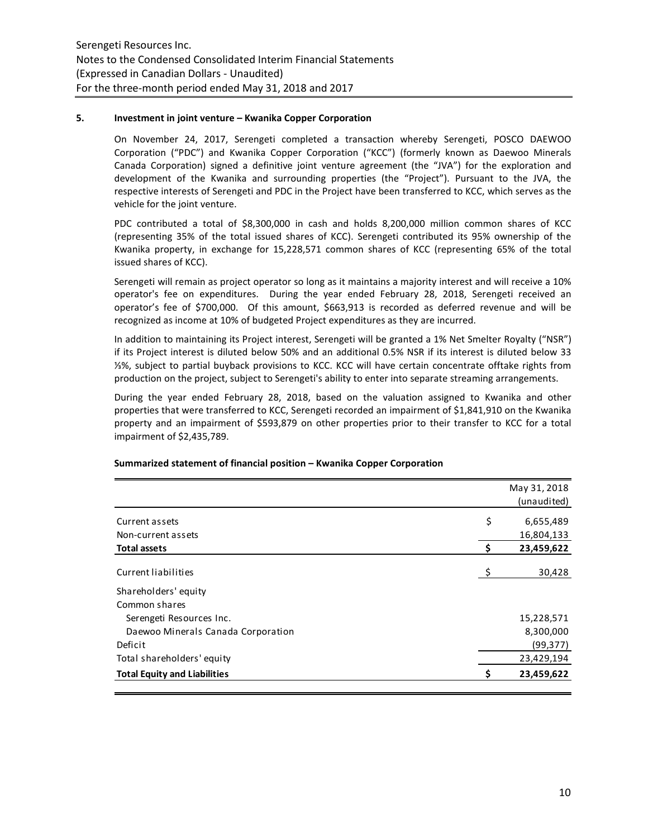### **5. Investment in joint venture – Kwanika Copper Corporation**

On November 24, 2017, Serengeti completed a transaction whereby Serengeti, POSCO DAEWOO Corporation ("PDC") and Kwanika Copper Corporation ("KCC") (formerly known as Daewoo Minerals Canada Corporation) signed a definitive joint venture agreement (the "JVA") for the exploration and development of the Kwanika and surrounding properties (the "Project"). Pursuant to the JVA, the respective interests of Serengeti and PDC in the Project have been transferred to KCC, which serves as the vehicle for the joint venture.

PDC contributed a total of \$8,300,000 in cash and holds 8,200,000 million common shares of KCC (representing 35% of the total issued shares of KCC). Serengeti contributed its 95% ownership of the Kwanika property, in exchange for 15,228,571 common shares of KCC (representing 65% of the total issued shares of KCC).

Serengeti will remain as project operator so long as it maintains a majority interest and will receive a 10% operator's fee on expenditures. During the year ended February 28, 2018, Serengeti received an operator's fee of \$700,000. Of this amount, \$663,913 is recorded as deferred revenue and will be recognized as income at 10% of budgeted Project expenditures as they are incurred.

In addition to maintaining its Project interest, Serengeti will be granted a 1% Net Smelter Royalty ("NSR") if its Project interest is diluted below 50% and an additional 0.5% NSR if its interest is diluted below 33 ⅓%, subject to partial buyback provisions to KCC. KCC will have certain concentrate offtake rights from production on the project, subject to Serengeti's ability to enter into separate streaming arrangements.

During the year ended February 28, 2018, based on the valuation assigned to Kwanika and other properties that were transferred to KCC, Serengeti recorded an impairment of \$1,841,910 on the Kwanika property and an impairment of \$593,879 on other properties prior to their transfer to KCC for a total impairment of \$2,435,789.

|     | May 31, 2018 |
|-----|--------------|
|     | (unaudited)  |
| \$  | 6,655,489    |
|     | 16,804,133   |
| \$. | 23,459,622   |
| S   | 30,428       |
|     |              |
|     |              |
|     | 15,228,571   |
|     | 8,300,000    |
|     | (99, 377)    |
|     | 23,429,194   |
|     | 23,459,622   |
|     |              |

# **Summarized statement of financial position – Kwanika Copper Corporation**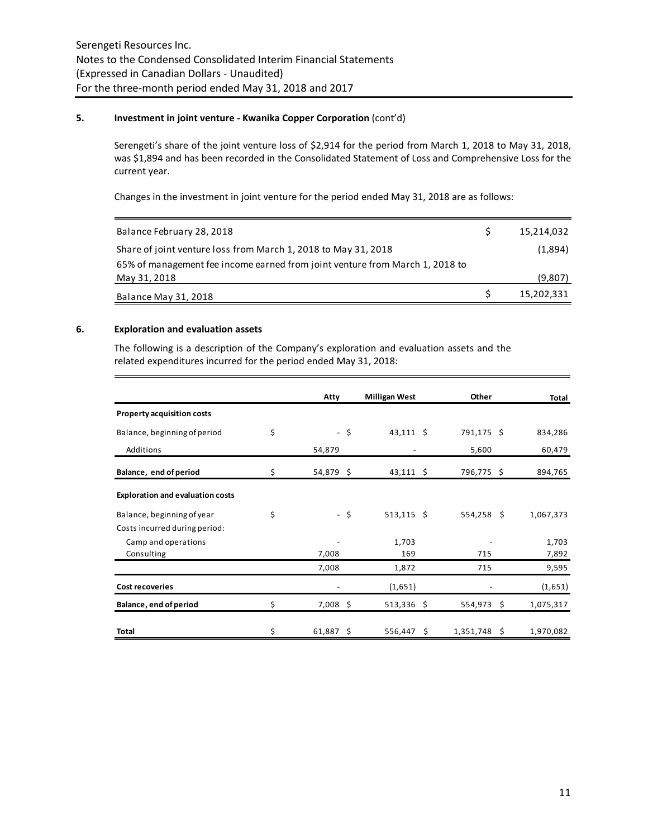### **5. Investment in joint venture - Kwanika Copper Corporation** (cont'd)

Serengeti's share of the joint venture loss of \$2,914 for the period from March 1, 2018 to May 31, 2018, was \$1,894 and has been recorded in the Consolidated Statement of Loss and Comprehensive Loss for the current year.

Changes in the investment in joint venture for the period ended May 31, 2018 are as follows:

| Balance February 28, 2018                                                    | 15,214,032 |
|------------------------------------------------------------------------------|------------|
| Share of joint venture loss from March 1, 2018 to May 31, 2018               | (1,894)    |
| 65% of management fee income earned from joint venture from March 1, 2018 to |            |
| May 31, 2018                                                                 | (9,807)    |
| Balance May 31, 2018                                                         | 15,202,331 |

### **6. Exploration and evaluation assets**

The following is a description of the Company's exploration and evaluation assets and the related expenditures incurred for the period ended May 31, 2018:

|                                         | Atty              |      | <b>Milligan West</b> | Other        | Total           |
|-----------------------------------------|-------------------|------|----------------------|--------------|-----------------|
| <b>Property acquisition costs</b>       |                   |      |                      |              |                 |
| Balance, beginning of period            | \$                | - \$ | $43,111$ \$          | 791,175 \$   | 834,286         |
| Additions                               | 54,879            |      |                      | 5,600        | 60,479          |
| Balance, end of period                  | \$<br>54,879 \$   |      | $43,111$ \$          | 796,775\$    | 894,765         |
| <b>Exploration and evaluation costs</b> |                   |      |                      |              |                 |
| Balance, beginning of year              | \$                | - \$ | $513,115$ \$         | $554,258$ \$ | 1,067,373       |
| Costs incurred during period:           |                   |      |                      |              |                 |
| Camp and operations                     |                   |      | 1,703                |              | 1,703           |
| Consulting                              | 7,008             |      | 169                  | 715          | 7,892           |
|                                         | 7,008             |      | 1,872                | 715          | 9,595           |
| <b>Cost recoveries</b>                  |                   |      | (1,651)              |              | (1,651)         |
| Balance, end of period                  | \$<br>$7,008$ \$  |      | $513,336$ \$         | 554,973      | \$<br>1,075,317 |
| Total                                   | \$<br>$61,887$ \$ |      | $556,447$ \$         | 1,351,748 \$ | 1,970,082       |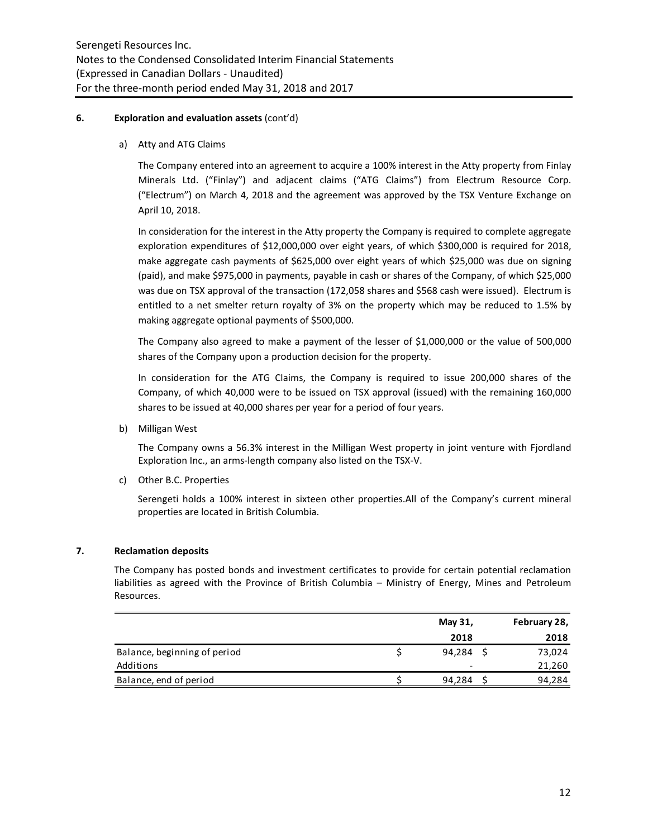### **6. Exploration and evaluation assets** (cont'd)

a) Atty and ATG Claims

The Company entered into an agreement to acquire a 100% interest in the Atty property from Finlay Minerals Ltd. ("Finlay") and adjacent claims ("ATG Claims") from Electrum Resource Corp. ("Electrum") on March 4, 2018 and the agreement was approved by the TSX Venture Exchange on April 10, 2018.

In consideration for the interest in the Atty property the Company is required to complete aggregate exploration expenditures of \$12,000,000 over eight years, of which \$300,000 is required for 2018, make aggregate cash payments of \$625,000 over eight years of which \$25,000 was due on signing (paid), and make \$975,000 in payments, payable in cash or shares of the Company, of which \$25,000 was due on TSX approval of the transaction (172,058 shares and \$568 cash were issued). Electrum is entitled to a net smelter return royalty of 3% on the property which may be reduced to 1.5% by making aggregate optional payments of \$500,000.

The Company also agreed to make a payment of the lesser of \$1,000,000 or the value of 500,000 shares of the Company upon a production decision for the property.

In consideration for the ATG Claims, the Company is required to issue 200,000 shares of the Company, of which 40,000 were to be issued on TSX approval (issued) with the remaining 160,000 shares to be issued at 40,000 shares per year for a period of four years.

b) Milligan West

The Company owns a 56.3% interest in the Milligan West property in joint venture with Fjordland Exploration Inc., an arms-length company also listed on the TSX-V.

c) Other B.C. Properties

Serengeti holds a 100% interest in sixteen other properties.All of the Company's current mineral properties are located in British Columbia.

# **7. Reclamation deposits**

The Company has posted bonds and investment certificates to provide for certain potential reclamation liabilities as agreed with the Province of British Columbia – Ministry of Energy, Mines and Petroleum Resources.

|                              | May 31,                  | February 28, |
|------------------------------|--------------------------|--------------|
|                              | 2018                     | 2018         |
| Balance, beginning of period | 94,284                   | 73,024       |
| Additions                    | $\overline{\phantom{0}}$ | 21,260       |
| Balance, end of period       | 94,284                   | 94,284       |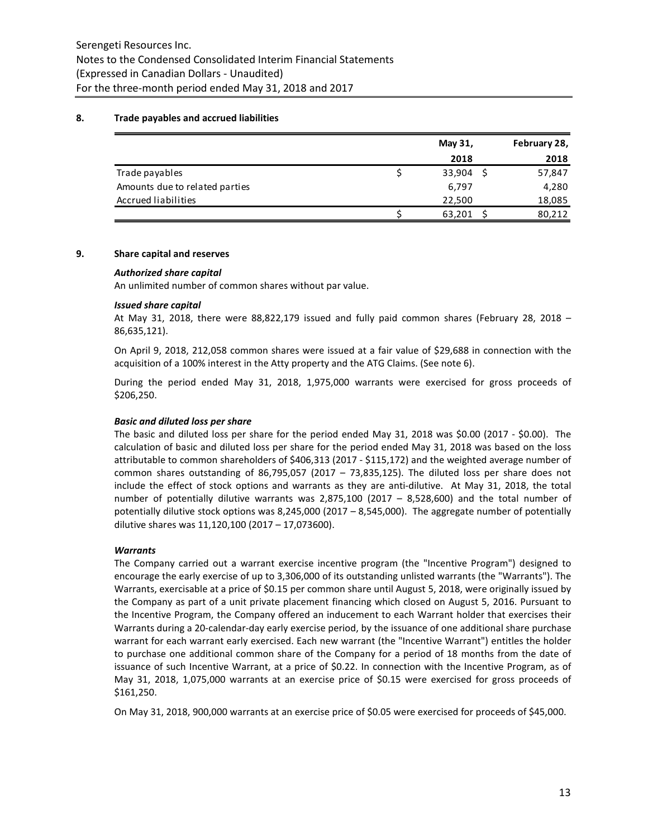### **8. Trade payables and accrued liabilities**

|                                | May 31, | February 28, |
|--------------------------------|---------|--------------|
|                                | 2018    | 2018         |
| Trade payables                 | 33,904  | 57,847       |
| Amounts due to related parties | 6,797   | 4,280        |
| Accrued liabilities            | 22.500  | 18,085       |
|                                | 63,201  | 80,212       |

### **9. Share capital and reserves**

#### *Authorized share capital*

An unlimited number of common shares without par value.

### *Issued share capital*

At May 31, 2018, there were 88,822,179 issued and fully paid common shares (February 28, 2018 – 86,635,121).

On April 9, 2018, 212,058 common shares were issued at a fair value of \$29,688 in connection with the acquisition of a 100% interest in the Atty property and the ATG Claims. (See note 6).

During the period ended May 31, 2018, 1,975,000 warrants were exercised for gross proceeds of \$206,250.

### *Basic and diluted loss per share*

The basic and diluted loss per share for the period ended May 31, 2018 was \$0.00 (2017 - \$0.00). The calculation of basic and diluted loss per share for the period ended May 31, 2018 was based on the loss attributable to common shareholders of \$406,313 (2017 - \$115,172) and the weighted average number of common shares outstanding of 86,795,057 (2017 – 73,835,125). The diluted loss per share does not include the effect of stock options and warrants as they are anti-dilutive. At May 31, 2018, the total number of potentially dilutive warrants was 2,875,100 (2017 – 8,528,600) and the total number of potentially dilutive stock options was 8,245,000 (2017 – 8,545,000). The aggregate number of potentially dilutive shares was 11,120,100 (2017 – 17,073600).

# *Warrants*

The Company carried out a warrant exercise incentive program (the "Incentive Program") designed to encourage the early exercise of up to 3,306,000 of its outstanding unlisted warrants (the "Warrants"). The Warrants, exercisable at a price of \$0.15 per common share until August 5, 2018, were originally issued by the Company as part of a unit private placement financing which closed on August 5, 2016. Pursuant to the Incentive Program, the Company offered an inducement to each Warrant holder that exercises their Warrants during a 20-calendar-day early exercise period, by the issuance of one additional share purchase warrant for each warrant early exercised. Each new warrant (the "Incentive Warrant") entitles the holder to purchase one additional common share of the Company for a period of 18 months from the date of issuance of such Incentive Warrant, at a price of \$0.22. In connection with the Incentive Program, as of May 31, 2018, 1,075,000 warrants at an exercise price of \$0.15 were exercised for gross proceeds of \$161,250.

On May 31, 2018, 900,000 warrants at an exercise price of \$0.05 were exercised for proceeds of \$45,000.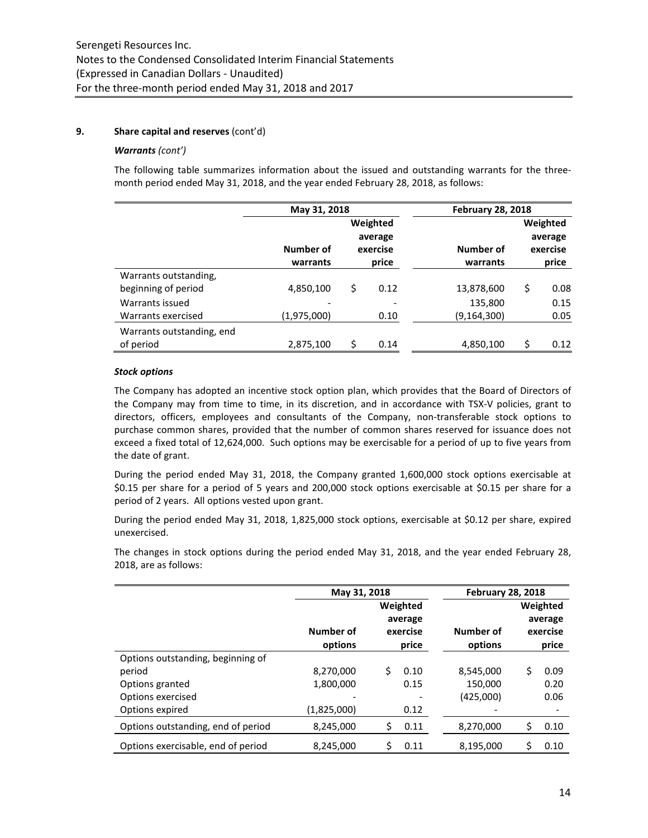# **9. Share capital and reserves** (cont'd)

### *Warrants (cont')*

The following table summarizes information about the issued and outstanding warrants for the threemonth period ended May 31, 2018, and the year ended February 28, 2018, as follows:

|                           | May 31, 2018                       |    | <b>February 28, 2018</b> |             |            |
|---------------------------|------------------------------------|----|--------------------------|-------------|------------|
|                           |                                    |    | Weighted                 |             | Weighted   |
|                           |                                    |    | average                  |             | average    |
|                           | Number of<br>Number of<br>exercise |    |                          |             | exercise   |
|                           | warrants                           |    | price                    | warrants    | price      |
| Warrants outstanding,     |                                    |    |                          |             |            |
| beginning of period       | 4,850,100                          | \$ | 0.12                     | 13,878,600  | \$<br>0.08 |
| Warrants issued           |                                    |    |                          | 135,800     | 0.15       |
| Warrants exercised        | (1,975,000)                        |    | 0.10                     | (9,164,300) | 0.05       |
| Warrants outstanding, end |                                    |    |                          |             |            |
| of period                 | 2,875,100                          | \$ | 0.14                     | 4,850,100   | 0.12       |

# *Stock options*

The Company has adopted an incentive stock option plan, which provides that the Board of Directors of the Company may from time to time, in its discretion, and in accordance with TSX-V policies, grant to directors, officers, employees and consultants of the Company, non-transferable stock options to purchase common shares, provided that the number of common shares reserved for issuance does not exceed a fixed total of 12,624,000. Such options may be exercisable for a period of up to five years from the date of grant.

During the period ended May 31, 2018, the Company granted 1,600,000 stock options exercisable at \$0.15 per share for a period of 5 years and 200,000 stock options exercisable at \$0.15 per share for a period of 2 years. All options vested upon grant.

During the period ended May 31, 2018, 1,825,000 stock options, exercisable at \$0.12 per share, expired unexercised.

The changes in stock options during the period ended May 31, 2018, and the year ended February 28, 2018, are as follows:

|                                    | May 31, 2018         |                                          | <b>February 28, 2018</b> |                                          |      |  |
|------------------------------------|----------------------|------------------------------------------|--------------------------|------------------------------------------|------|--|
|                                    | Number of<br>options | Weighted<br>average<br>exercise<br>price | Number of<br>options     | Weighted<br>average<br>exercise<br>price |      |  |
| Options outstanding, beginning of  |                      |                                          |                          |                                          |      |  |
| period                             | 8,270,000            | Ś.<br>0.10                               | 8,545,000                | Ś.                                       | 0.09 |  |
| Options granted                    | 1,800,000            | 0.15                                     | 150,000                  |                                          | 0.20 |  |
| Options exercised                  |                      |                                          | (425,000)                |                                          | 0.06 |  |
| Options expired                    | (1,825,000)          | 0.12                                     |                          |                                          |      |  |
| Options outstanding, end of period | 8,245,000            | Ś<br>0.11                                | 8,270,000                | Ś                                        | 0.10 |  |
| Options exercisable, end of period | 8,245,000            | 0.11                                     | 8,195,000                | \$                                       | 0.10 |  |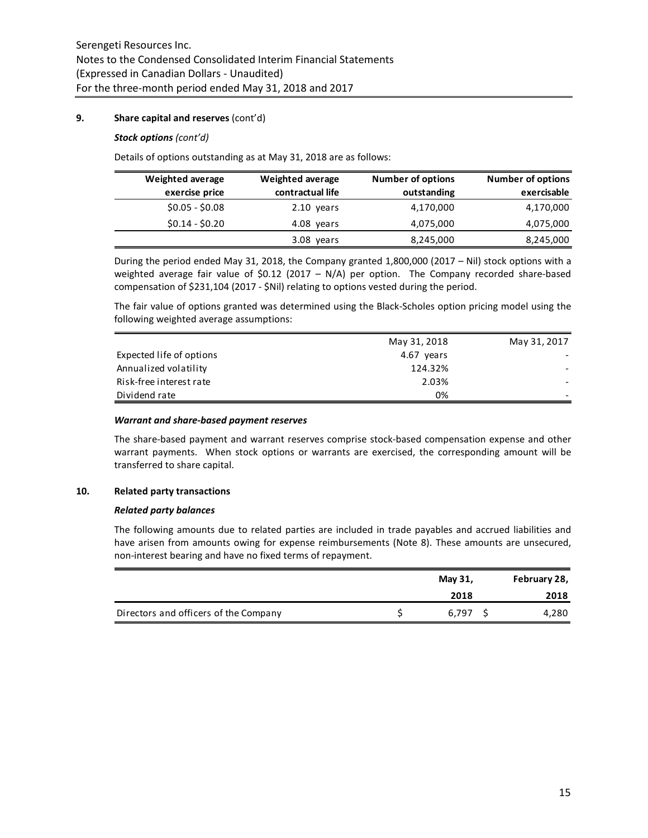# **9. Share capital and reserves** (cont'd)

### *Stock options (cont'd)*

Details of options outstanding as at May 31, 2018 are as follows:

| <b>Weighted average</b> | <b>Weighted average</b> | <b>Number of options</b> | <b>Number of options</b> |
|-------------------------|-------------------------|--------------------------|--------------------------|
| exercise price          | contractual life        | outstanding              | exercisable              |
| $$0.05 - $0.08$         | 2.10 years              | 4,170,000                | 4,170,000                |
| $$0.14 - $0.20$         | 4.08 years              | 4,075,000                | 4,075,000                |
|                         | 3.08 years              | 8,245,000                | 8,245,000                |

During the period ended May 31, 2018, the Company granted 1,800,000 (2017 – Nil) stock options with a weighted average fair value of \$0.12 (2017 – N/A) per option. The Company recorded share-based compensation of \$231,104 (2017 - \$Nil) relating to options vested during the period.

The fair value of options granted was determined using the Black-Scholes option pricing model using the following weighted average assumptions:

|                          | May 31, 2018 | May 31, 2017 |
|--------------------------|--------------|--------------|
| Expected life of options | 4.67 years   |              |
| Annualized volatility    | 124.32%      |              |
| Risk-free interest rate  | 2.03%        |              |
| Dividend rate            | 0%           |              |

#### *Warrant and share-based payment reserves*

The share-based payment and warrant reserves comprise stock-based compensation expense and other warrant payments. When stock options or warrants are exercised, the corresponding amount will be transferred to share capital.

#### **10. Related party transactions**

#### *Related party balances*

The following amounts due to related parties are included in trade payables and accrued liabilities and have arisen from amounts owing for expense reimbursements (Note 8). These amounts are unsecured, non-interest bearing and have no fixed terms of repayment.

|                                       | May 31, |       | February 28, |  |
|---------------------------------------|---------|-------|--------------|--|
|                                       |         | 2018  | 2018         |  |
| Directors and officers of the Company |         | 6.797 | 4,280        |  |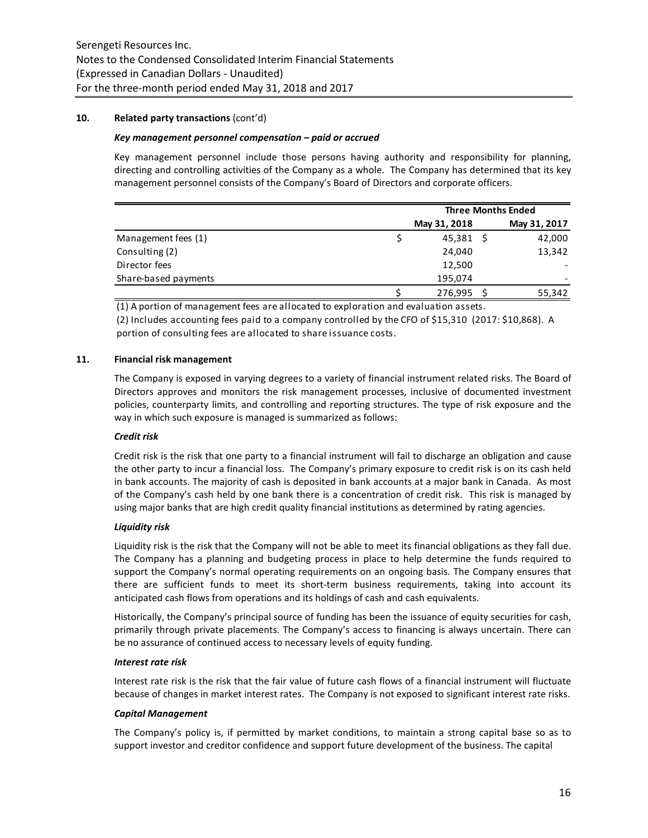### **10. Related party transactions** (cont'd)

### *Key management personnel compensation – paid or accrued*

Key management personnel include those persons having authority and responsibility for planning, directing and controlling activities of the Company as a whole. The Company has determined that its key management personnel consists of the Company's Board of Directors and corporate officers.

|                      | <b>Three Months Ended</b> |  |              |  |
|----------------------|---------------------------|--|--------------|--|
|                      | May 31, 2018              |  | May 31, 2017 |  |
| Management fees (1)  | 45,381                    |  | 42,000       |  |
| Consulting (2)       | 24,040                    |  | 13,342       |  |
| Director fees        | 12,500                    |  |              |  |
| Share-based payments | 195,074                   |  |              |  |
|                      | 276,995                   |  | 55,342       |  |

(1) A portion of management fees are allocated to exploration and evaluation assets.

(2) Includes accounting fees paid to a company controlled by the CFO of \$15,310 (2017: \$10,868). A portion of consulting fees are allocated to share issuance costs.

### **11. Financial risk management**

The Company is exposed in varying degrees to a variety of financial instrument related risks. The Board of Directors approves and monitors the risk management processes, inclusive of documented investment policies, counterparty limits, and controlling and reporting structures. The type of risk exposure and the way in which such exposure is managed is summarized as follows:

### *Credit risk*

Credit risk is the risk that one party to a financial instrument will fail to discharge an obligation and cause the other party to incur a financial loss. The Company's primary exposure to credit risk is on its cash held in bank accounts. The majority of cash is deposited in bank accounts at a major bank in Canada. As most of the Company's cash held by one bank there is a concentration of credit risk. This risk is managed by using major banks that are high credit quality financial institutions as determined by rating agencies.

# *Liquidity risk*

Liquidity risk is the risk that the Company will not be able to meet its financial obligations as they fall due. The Company has a planning and budgeting process in place to help determine the funds required to support the Company's normal operating requirements on an ongoing basis. The Company ensures that there are sufficient funds to meet its short-term business requirements, taking into account its anticipated cash flows from operations and its holdings of cash and cash equivalents.

Historically, the Company's principal source of funding has been the issuance of equity securities for cash, primarily through private placements. The Company's access to financing is always uncertain. There can be no assurance of continued access to necessary levels of equity funding.

#### *Interest rate risk*

Interest rate risk is the risk that the fair value of future cash flows of a financial instrument will fluctuate because of changes in market interest rates. The Company is not exposed to significant interest rate risks.

#### *Capital Management*

The Company's policy is, if permitted by market conditions, to maintain a strong capital base so as to support investor and creditor confidence and support future development of the business. The capital